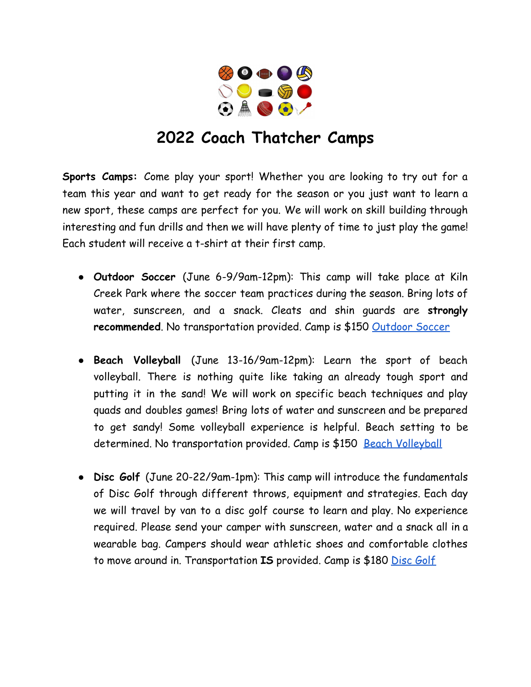

## **2022 Coach Thatcher Camps**

**Sports Camps:** Come play your sport! Whether you are looking to try out for a team this year and want to get ready for the season or you just want to learn a new sport, these camps are perfect for you. We will work on skill building through interesting and fun drills and then we will have plenty of time to just play the game! Each student will receive a t-shirt at their first camp.

- **Outdoor Soccer** (June 6-9/9am-12pm): This camp will take place at Kiln Creek Park where the soccer team practices during the season. Bring lots of water, sunscreen, and a snack. Cleats and shin guards are **strongly recommended**. No transportation provided. Camp is \$150 [Outdoor Soccer](https://docs.google.com/forms/d/1a_y-UVOgG7Hm60z2NWojfeAeDDZII1LPxNrokmFfg0M/edit)
- **Beach Volleyball** (June 13-16/9am-12pm): Learn the sport of beach volleyball. There is nothing quite like taking an already tough sport and putting it in the sand! We will work on specific beach techniques and play quads and doubles games! Bring lots of water and sunscreen and be prepared to get sandy! Some volleyball experience is helpful. Beach setting to be determined. No transportation provided. Camp is \$150 [Beach Volleyball](https://docs.google.com/forms/d/1qFzGg9LIb66dlBIOZv1_4Z1xK2JXd5qo2veKlHxwOWM/edit)
- **Disc Golf** (June 20-22/9am-1pm): This camp will introduce the fundamentals of Disc Golf through different throws, equipment and strategies. Each day we will travel by van to a disc golf course to learn and play. No experience required. Please send your camper with sunscreen, water and a snack all in a wearable bag. Campers should wear athletic shoes and comfortable clothes to move around in. Transportation **IS** provided. Camp is \$180 [Disc Golf](https://docs.google.com/forms/d/1t9dQMJU44aV6fzF4wI69XJb1rV5fAZVboc1pTogl6O8/edit)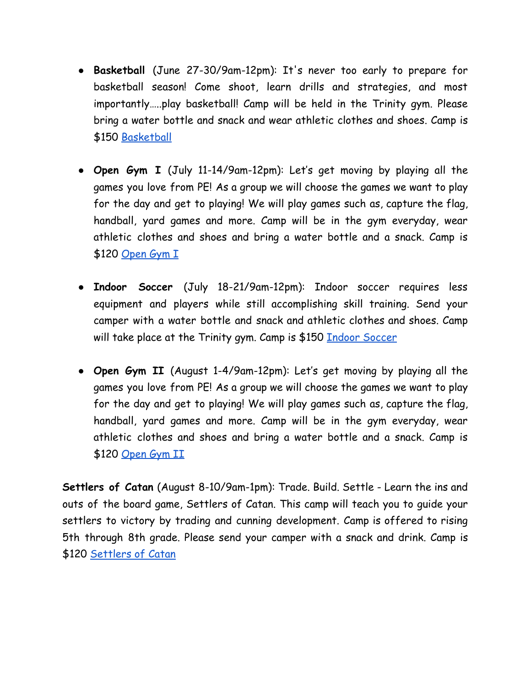- **Basketball** (June 27-30/9am-12pm): It's never too early to prepare for basketball season! Come shoot, learn drills and strategies, and most importantly…..play basketball! Camp will be held in the Trinity gym. Please bring a water bottle and snack and wear athletic clothes and shoes. Camp is \$150 [Basketball](https://docs.google.com/forms/d/11XdxUBojGJbeSzpXEGvRWMJiDljCBGt9rxBYrp3iv2w/edit)
- **Open Gym I** (July 11-14/9am-12pm): Let's get moving by playing all the games you love from PE! As a group we will choose the games we want to play for the day and get to playing! We will play games such as, capture the flag, handball, yard games and more. Camp will be in the gym everyday, wear athletic clothes and shoes and bring a water bottle and a snack. Camp is \$120 [Open Gym I](https://docs.google.com/forms/d/1HLZprrW4KqP-MxnldoYnzkjiBVbYtf_xwCNoCtQEv84/edit)
- **Indoor Soccer** (July 18-21/9am-12pm): Indoor soccer requires less equipment and players while still accomplishing skill training. Send your camper with a water bottle and snack and athletic clothes and shoes. Camp will take place at the Trinity gym. Camp is \$150 <u>Indoor [Soccer](https://docs.google.com/forms/d/1xEI_s7Pro-yT-NaBGiwcV4V-tQJDY5YiKwPvYcAokkU/edit)</u>
- **Open Gym II** (August 1-4/9am-12pm): Let's get moving by playing all the games you love from PE! As a group we will choose the games we want to play for the day and get to playing! We will play games such as, capture the flag, handball, yard games and more. Camp will be in the gym everyday, wear athletic clothes and shoes and bring a water bottle and a snack. Camp is \$120 [Open Gym II](https://docs.google.com/forms/d/167QJEeoEn0y1G3Ra8m1phJxWZ59nLS_4b332gLdwGss/edit)

**Settlers of Catan** (August 8-10/9am-1pm): Trade. Build. Settle - Learn the ins and outs of the board game, Settlers of Catan. This camp will teach you to guide your settlers to victory by trading and cunning development. Camp is offered to rising 5th through 8th grade. Please send your camper with a snack and drink. Camp is \$120 [Settlers of Catan](https://docs.google.com/forms/d/1l9g_nipFPk8TDT9zFi7HKGssExZZrrcezsBqlNfv1Us/edit)